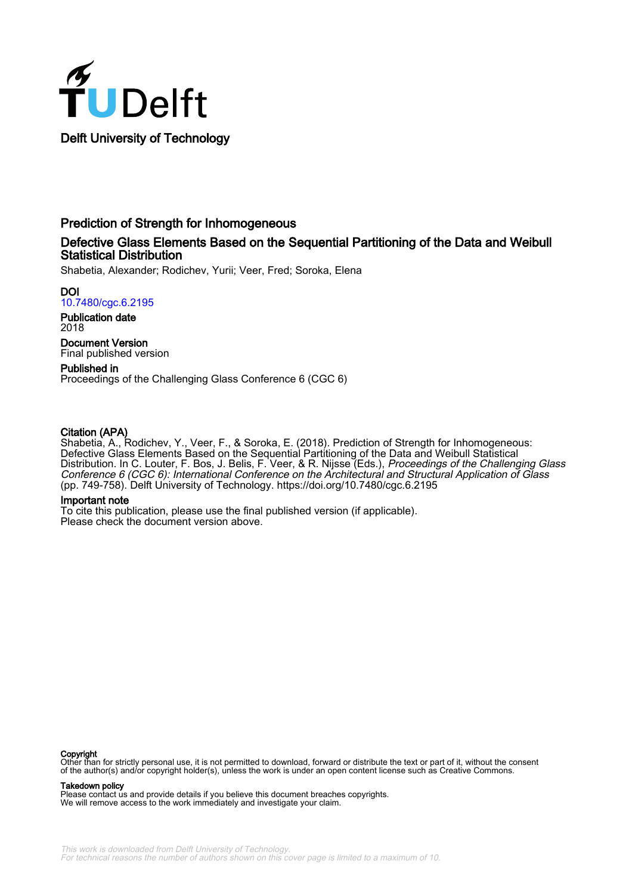

# Prediction of Strength for Inhomogeneous

# Defective Glass Elements Based on the Sequential Partitioning of the Data and Weibull Statistical Distribution

Shabetia, Alexander; Rodichev, Yurii; Veer, Fred; Soroka, Elena

DOI [10.7480/cgc.6.2195](https://doi.org/10.7480/cgc.6.2195)

Publication date 2018

Document Version Final published version

Published in Proceedings of the Challenging Glass Conference 6 (CGC 6)

# Citation (APA)

Shabetia, A., Rodichev, Y., Veer, F., & Soroka, E. (2018). Prediction of Strength for Inhomogeneous: Defective Glass Elements Based on the Sequential Partitioning of the Data and Weibull Statistical Distribution. In C. Louter, F. Bos, J. Belis, F. Veer, & R. Nijsse (Eds.), *Proceedings of the Challenging Glass* Conference 6 (CGC 6): International Conference on the Architectural and Structural Application of Glass (pp. 749-758). Delft University of Technology. <https://doi.org/10.7480/cgc.6.2195>

## Important note

To cite this publication, please use the final published version (if applicable). Please check the document version above.

#### Copyright

Other than for strictly personal use, it is not permitted to download, forward or distribute the text or part of it, without the consent of the author(s) and/or copyright holder(s), unless the work is under an open content license such as Creative Commons.

#### Takedown policy

Please contact us and provide details if you believe this document breaches copyrights. We will remove access to the work immediately and investigate your claim.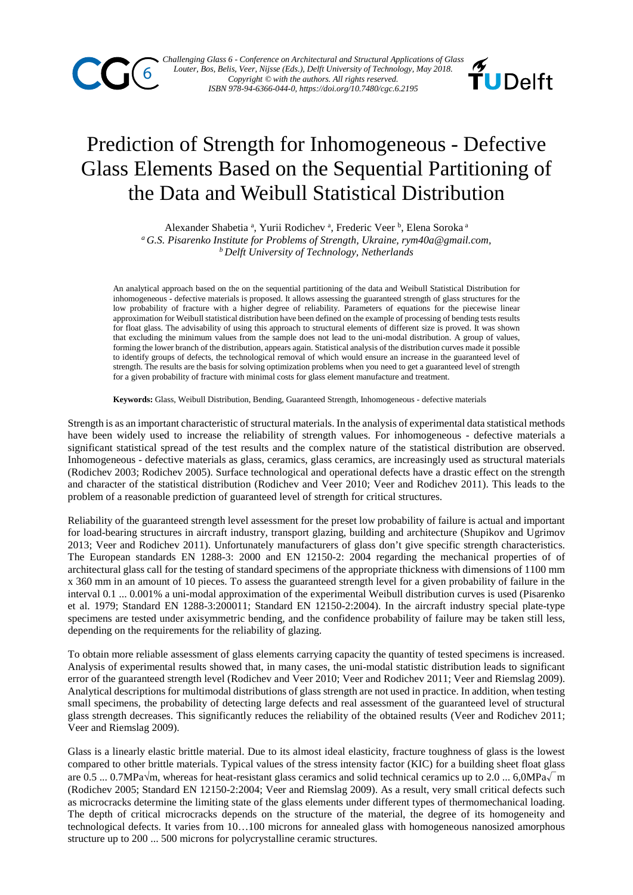



# Prediction of Strength for Inhomogeneous - Defective Glass Elements Based on the Sequential Partitioning of the Data and Weibull Statistical Distribution

Alexander Shabetia<sup>a</sup>, Yurii Rodichev<sup>a</sup>, Frederic Veer<sup>b</sup>, Elena Soroka<sup>a</sup> *<sup>a</sup> G.S. Pisarenko Institute for Problems of Strength, Ukraine, rym40a@gmail.com, b Delft University of Technology, Netherlands*

An analytical approach based on the on the sequential partitioning of the data and Weibull Statistical Distribution for inhomogeneous - defective materials is proposed. It allows assessing the guaranteed strength of glass structures for the low probability of fracture with a higher degree of reliability. Parameters of equations for the piecewise linear approximation for Weibull statistical distribution have been defined on the example of processing of bending tests results for float glass. The advisability of using this approach to structural elements of different size is proved. It was shown that excluding the minimum values from the sample does not lead to the uni-modal distribution. A group of values, forming the lower branch of the distribution, appears again. Statistical analysis of the distribution curves made it possible to identify groups of defects, the technological removal of which would ensure an increase in the guaranteed level of strength. The results are the basis for solving optimization problems when you need to get a guaranteed level of strength for a given probability of fracture with minimal costs for glass element manufacture and treatment.

**Keywords:** Glass, Weibull Distribution, Bending, Guaranteed Strength, Inhomogeneous - defective materials

Strength is as an important characteristic of structural materials. In the analysis of experimental data statistical methods have been widely used to increase the reliability of strength values. For inhomogeneous - defective materials a significant statistical spread of the test results and the complex nature of the statistical distribution are observed. Inhomogeneous - defective materials as glass, ceramics, glass ceramics, are increasingly used as structural materials (Rodichev 2003; Rodichev 2005). Surface technological and operational defects have a drastic effect on the strength and character of the statistical distribution (Rodichev and Veer 2010; Veer and Rodichev 2011). This leads to the problem of a reasonable prediction of guaranteed level of strength for critical structures.

Reliability of the guaranteed strength level assessment for the preset low probability of failure is actual and important for load-bearing structures in aircraft industry, transport glazing, building and architecture (Shupikov and Ugrimov 2013; Veer and Rodichev 2011). Unfortunately manufacturers of glass don't give specific strength characteristics. The European standards EN 1288-3: 2000 and EN 12150-2: 2004 regarding the mechanical properties of of architectural glass call for the testing of standard specimens of the appropriate thickness with dimensions of 1100 mm x 360 mm in an amount of 10 pieces. To assess the guaranteed strength level for a given probability of failure in the interval 0.1 ... 0.001% a uni-modal approximation of the experimental Weibull distribution curves is used (Pisarenko et al. 1979; Standard EN 1288-3:200011; Standard EN 12150-2:2004). In the aircraft industry special plate-type specimens are tested under axisymmetric bending, and the confidence probability of failure may be taken still less, depending on the requirements for the reliability of glazing.

To obtain more reliable assessment of glass elements carrying capacity the quantity of tested specimens is increased. Analysis of experimental results showed that, in many cases, the uni-modal statistic distribution leads to significant error of the guaranteed strength level (Rodichev and Veer 2010; Veer and Rodichev 2011; Veer and Riemslag 2009). Analytical descriptions for multimodal distributions of glass strength are not used in practice. In addition, when testing small specimens, the probability of detecting large defects and real assessment of the guaranteed level of structural glass strength decreases. This significantly reduces the reliability of the obtained results (Veer and Rodichev 2011; Veer and Riemslag 2009).

Glass is a linearly elastic brittle material. Due to its almost ideal elasticity, fracture toughness of glass is the lowest compared to other brittle materials. Typical values of the stress intensity factor (KIC) for a building sheet float glass are 0.5 ... 0.7MPa $\sqrt{m}$ , whereas for heat-resistant glass ceramics and solid technical ceramics up to 2.0 ... 6,0MPa $\sqrt{m}$ (Rodichev 2005; Standard EN 12150-2:2004; Veer and Riemslag 2009). As a result, very small critical defects such as microcracks determine the limiting state of the glass elements under different types of thermomechanical loading. The depth of critical microcracks depends on the structure of the material, the degree of its homogeneity and technological defects. It varies from 10…100 microns for annealed glass with homogeneous nanosized amorphous structure up to 200 ... 500 microns for polycrystalline ceramic structures.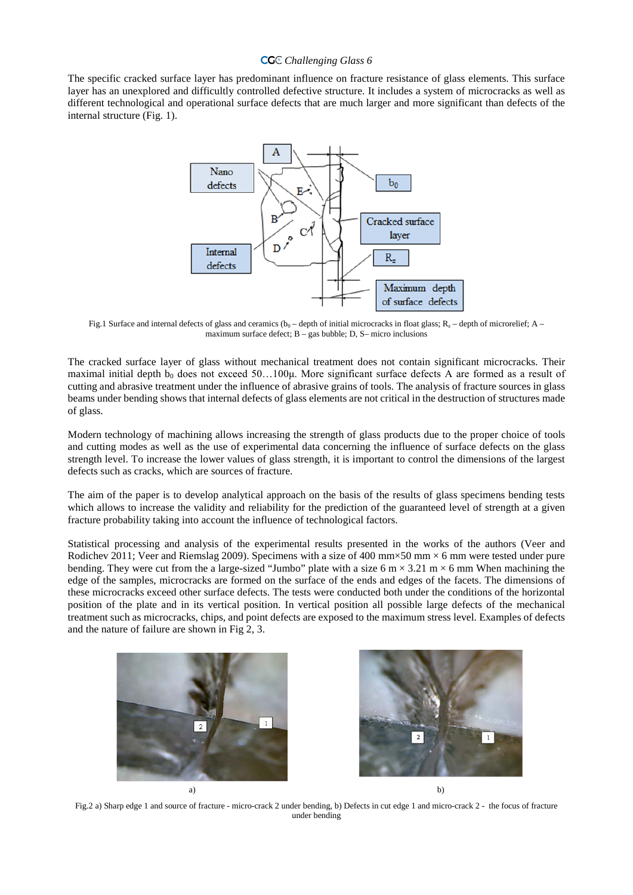# *Challenging Glass 6* <sup>6</sup>

The specific cracked surface layer has predominant influence on fracture resistance of glass elements. This surface layer has an unexplored and difficultly controlled defective structure. It includes a system of microcracks as well as different technological and operational surface defects that are much larger and more significant than defects of the internal structure (Fig. 1).



Fig.1 Surface and internal defects of glass and ceramics ( $b_0$  – depth of initial microcracks in float glass;  $R_z$  – depth of microrelief; A – maximum surface defect;  $B - gas$  bubble; D, S- micro inclusions

The cracked surface layer of glass without mechanical treatment does not contain significant microcracks. Their maximal initial depth  $b_0$  does not exceed 50...100 $\mu$ . More significant surface defects A are formed as a result of cutting and abrasive treatment under the influence of abrasive grains of tools. The analysis of fracture sources in glass beams under bending shows that internal defects of glass elements are not critical in the destruction of structures made of glass.

Modern technology of machining allows increasing the strength of glass products due to the proper choice of tools and cutting modes as well as the use of experimental data concerning the influence of surface defects on the glass strength level. To increase the lower values of glass strength, it is important to control the dimensions of the largest defects such as cracks, which are sources of fracture.

The aim of the paper is to develop analytical approach on the basis of the results of glass specimens bending tests which allows to increase the validity and reliability for the prediction of the guaranteed level of strength at a given fracture probability taking into account the influence of technological factors.

Statistical processing and analysis of the experimental results presented in the works of the authors (Veer and Rodichev 2011; Veer and Riemslag 2009). Specimens with a size of 400 mm $\times$ 50 mm  $\times$  6 mm were tested under pure bending. They were cut from the a large-sized "Jumbo" plate with a size 6 m  $\times$  3.21 m  $\times$  6 mm When machining the edge of the samples, microcracks are formed on the surface of the ends and edges of the facets. The dimensions of these microcracks exceed other surface defects. The tests were conducted both under the conditions of the horizontal position of the plate and in its vertical position. In vertical position all possible large defects of the mechanical treatment such as microcracks, chips, and point defects are exposed to the maximum stress level. Examples of defects and the nature of failure are shown in Fig 2, 3.



Fig.2 a) Sharp edge 1 and source of fracture - micro-crack 2 under bending, b) Defects in cut edge 1 and micro-crack 2 - the focus of fracture under bending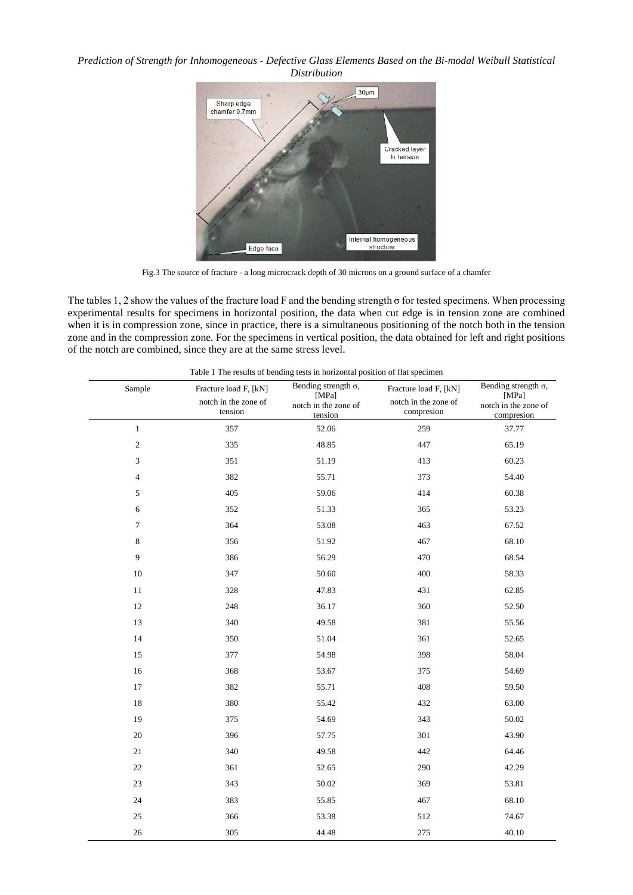## *Prediction of Strength for Inhomogeneous - Defective Glass Elements Based on the Bi-modal Weibull Statistical Distribution*



Fig.3 The source of fracture - a long microcrack depth of 30 microns on a ground surface of a chamfer

The tables 1, 2 show the values of the fracture load F and the bending strength  $\sigma$  for tested specimens. When processing experimental results for specimens in horizontal position, the data when cut edge is in tension zone are combined when it is in compression zone, since in practice, there is a simultaneous positioning of the notch both in the tension zone and in the compression zone. For the specimens in vertical position, the data obtained for left and right positions of the notch are combined, since they are at the same stress level.

| Table 1 The results of bending tests in horizontal position of flat specimen |                                                          |                                                                         |                                                             |                                                                            |  |  |  |  |
|------------------------------------------------------------------------------|----------------------------------------------------------|-------------------------------------------------------------------------|-------------------------------------------------------------|----------------------------------------------------------------------------|--|--|--|--|
| Sample                                                                       | Fracture load F, [kN]<br>notch in the zone of<br>tension | Bending strength $\sigma$ ,<br>[MPa]<br>notch in the zone of<br>tension | Fracture load F, [kN]<br>notch in the zone of<br>compresion | Bending strength $\sigma$ ,<br>[MPa]<br>notch in the zone of<br>compresion |  |  |  |  |
| $1\,$                                                                        | 357                                                      | 52.06                                                                   | 259                                                         | 37.77                                                                      |  |  |  |  |
| $\sqrt{2}$                                                                   | 335                                                      | 48.85                                                                   | 447                                                         | 65.19                                                                      |  |  |  |  |
| 3                                                                            | 351                                                      | 51.19                                                                   | 413                                                         | 60.23                                                                      |  |  |  |  |
| $\overline{4}$                                                               | 382                                                      | 55.71                                                                   | 373                                                         | 54.40                                                                      |  |  |  |  |
| 5                                                                            | 405                                                      | 59.06                                                                   | 414                                                         | 60.38                                                                      |  |  |  |  |
| 6                                                                            | 352                                                      | 51.33                                                                   | 365                                                         | 53.23                                                                      |  |  |  |  |
| 7                                                                            | 364                                                      | 53.08                                                                   | 463                                                         | 67.52                                                                      |  |  |  |  |
| 8                                                                            | 356                                                      | 51.92                                                                   | 467                                                         | 68.10                                                                      |  |  |  |  |
| $\overline{9}$                                                               | 386                                                      | 56.29                                                                   | 470                                                         | 68.54                                                                      |  |  |  |  |
| 10                                                                           | 347                                                      | 50.60                                                                   | 400                                                         | 58.33                                                                      |  |  |  |  |
| 11                                                                           | 328                                                      | 47.83                                                                   | 431                                                         | 62.85                                                                      |  |  |  |  |
| 12                                                                           | 248                                                      | 36.17                                                                   | 360                                                         | 52.50                                                                      |  |  |  |  |
| 13                                                                           | 340                                                      | 49.58                                                                   | 381                                                         | 55.56                                                                      |  |  |  |  |
| 14                                                                           | 350                                                      | 51.04                                                                   | 361                                                         | 52.65                                                                      |  |  |  |  |
| 15                                                                           | 377                                                      | 54.98                                                                   | 398                                                         | 58.04                                                                      |  |  |  |  |
| 16                                                                           | 368                                                      | 53.67                                                                   | 375                                                         | 54.69                                                                      |  |  |  |  |
| 17                                                                           | 382                                                      | 55.71                                                                   | 408                                                         | 59.50                                                                      |  |  |  |  |
| 18                                                                           | 380                                                      | 55.42                                                                   | 432                                                         | 63.00                                                                      |  |  |  |  |
| 19                                                                           | 375                                                      | 54.69                                                                   | 343                                                         | 50.02                                                                      |  |  |  |  |
| $20\,$                                                                       | 396                                                      | 57.75                                                                   | 301                                                         | 43.90                                                                      |  |  |  |  |
| 21                                                                           | 340                                                      | 49.58                                                                   | 442                                                         | 64.46                                                                      |  |  |  |  |
| 22                                                                           | 361                                                      | 52.65                                                                   | 290                                                         | 42.29                                                                      |  |  |  |  |
| $23\,$                                                                       | 343                                                      | 50.02                                                                   | 369                                                         | 53.81                                                                      |  |  |  |  |
| 24                                                                           | 383                                                      | 55.85                                                                   | 467                                                         | 68.10                                                                      |  |  |  |  |
| 25                                                                           | 366                                                      | 53.38                                                                   | 512                                                         | 74.67                                                                      |  |  |  |  |
| 26                                                                           | 305                                                      | 44.48                                                                   | 275                                                         | 40.10                                                                      |  |  |  |  |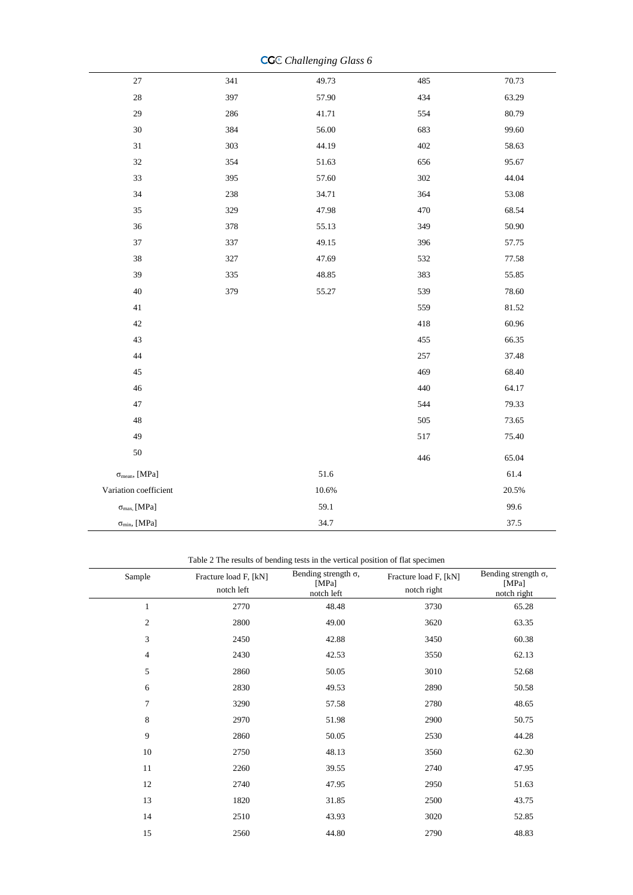|                                       |     | $\ldots \ldots \ldots \ldots$ |     |       |
|---------------------------------------|-----|-------------------------------|-----|-------|
| $27\,$                                | 341 | 49.73                         | 485 | 70.73 |
| $28\,$                                | 397 | 57.90                         | 434 | 63.29 |
| 29                                    | 286 | 41.71                         | 554 | 80.79 |
| $30\,$                                | 384 | 56.00                         | 683 | 99.60 |
| $31\,$                                | 303 | 44.19                         | 402 | 58.63 |
| $32\,$                                | 354 | 51.63                         | 656 | 95.67 |
| 33                                    | 395 | 57.60                         | 302 | 44.04 |
| 34                                    | 238 | 34.71                         | 364 | 53.08 |
| $35\,$                                | 329 | 47.98                         | 470 | 68.54 |
| $36\,$                                | 378 | 55.13                         | 349 | 50.90 |
| $37\,$                                | 337 | 49.15                         | 396 | 57.75 |
| 38                                    | 327 | 47.69                         | 532 | 77.58 |
| 39                                    | 335 | 48.85                         | 383 | 55.85 |
| 40                                    | 379 | 55.27                         | 539 | 78.60 |
| $41\,$                                |     |                               | 559 | 81.52 |
| $42\,$                                |     |                               | 418 | 60.96 |
| 43                                    |     |                               | 455 | 66.35 |
| 44                                    |     |                               | 257 | 37.48 |
| 45                                    |     |                               | 469 | 68.40 |
| $46\,$                                |     |                               | 440 | 64.17 |
| 47                                    |     |                               | 544 | 79.33 |
| 48                                    |     |                               | 505 | 73.65 |
| 49                                    |     |                               | 517 | 75.40 |
| $50\,$                                |     |                               | 446 | 65.04 |
| $\sigma_{mean}$ , [MPa]               |     | 51.6                          |     | 61.4  |
| Variation coefficient                 |     | $10.6\%$                      |     | 20.5% |
| $\sigma_{max,}$ [MPa]                 |     | 59.1                          |     | 99.6  |
| $\sigma_{\text{min}}, \,[\text{MPa}]$ |     | 34.7                          |     | 37.5  |

**CG** $\in$  *Challenging Glass 6* 

Table 2 The results of bending tests in the vertical position of flat specimen

| Sample         | Fracture load F, [kN]<br>notch left | Bending strength $\sigma$ ,<br>[MPa]<br>notch left | Fracture load F, [kN]<br>notch right | Bending strength $\sigma$ ,<br>[MPa]<br>notch right |
|----------------|-------------------------------------|----------------------------------------------------|--------------------------------------|-----------------------------------------------------|
| $\mathbf{1}$   | 2770                                | 48.48                                              | 3730                                 | 65.28                                               |
| $\mathfrak{2}$ | 2800                                | 49.00                                              | 3620                                 | 63.35                                               |
| 3              | 2450                                | 42.88                                              | 3450                                 | 60.38                                               |
| $\overline{4}$ | 2430                                | 42.53                                              | 3550                                 | 62.13                                               |
| 5              | 2860                                | 50.05                                              | 3010                                 | 52.68                                               |
| 6              | 2830                                | 49.53                                              | 2890                                 | 50.58                                               |
| $\overline{7}$ | 3290                                | 57.58                                              | 2780                                 | 48.65                                               |
| 8              | 2970                                | 51.98                                              | 2900                                 | 50.75                                               |
| 9              | 2860                                | 50.05                                              | 2530                                 | 44.28                                               |
| 10             | 2750                                | 48.13                                              | 3560                                 | 62.30                                               |
| 11             | 2260                                | 39.55                                              | 2740                                 | 47.95                                               |
| 12             | 2740                                | 47.95                                              | 2950                                 | 51.63                                               |
| 13             | 1820                                | 31.85                                              | 2500                                 | 43.75                                               |
| 14             | 2510                                | 43.93                                              | 3020                                 | 52.85                                               |
| 15             | 2560                                | 44.80                                              | 2790                                 | 48.83                                               |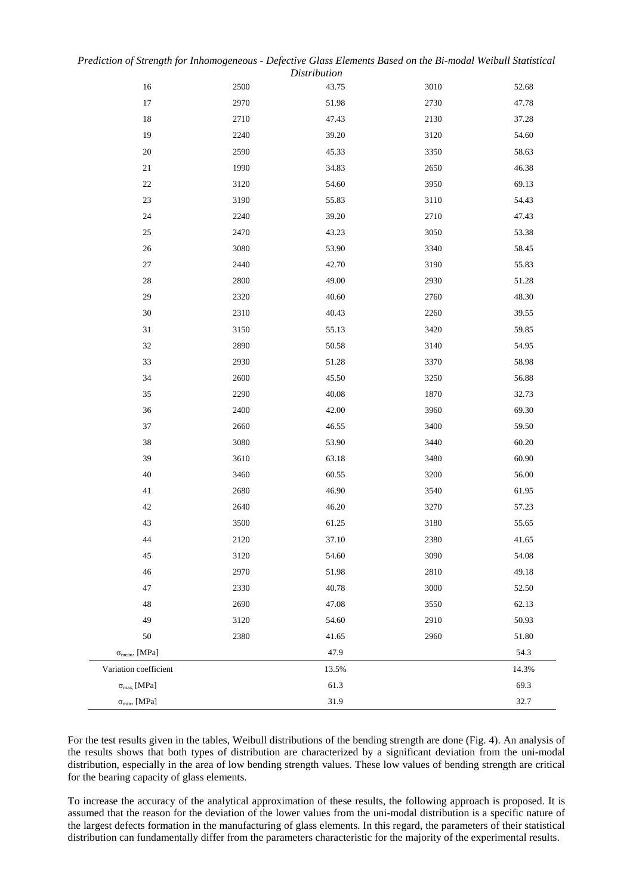| Prediction of Strength for Inhomogeneous - Defective Glass Elements Based on the Bi-modal Weibull Statistical |                     |  |  |  |
|---------------------------------------------------------------------------------------------------------------|---------------------|--|--|--|
|                                                                                                               | <i>Distribution</i> |  |  |  |

| 16                          | 2500     | 43.75 | 3010 | 52.68 |
|-----------------------------|----------|-------|------|-------|
| $17\,$                      | 2970     | 51.98 | 2730 | 47.78 |
| $18\,$                      | 2710     | 47.43 | 2130 | 37.28 |
| 19                          | 2240     | 39.20 | 3120 | 54.60 |
| $20\,$                      | 2590     | 45.33 | 3350 | 58.63 |
| $21\,$                      | 1990     | 34.83 | 2650 | 46.38 |
| $22\,$                      | 3120     | 54.60 | 3950 | 69.13 |
| $23\,$                      | 3190     | 55.83 | 3110 | 54.43 |
| 24                          | 2240     | 39.20 | 2710 | 47.43 |
| 25                          | 2470     | 43.23 | 3050 | 53.38 |
| $26\,$                      | 3080     | 53.90 | 3340 | 58.45 |
| $27\,$                      | 2440     | 42.70 | 3190 | 55.83 |
| $28\,$                      | 2800     | 49.00 | 2930 | 51.28 |
| 29                          | 2320     | 40.60 | 2760 | 48.30 |
| $30\,$                      | 2310     | 40.43 | 2260 | 39.55 |
| $31\,$                      | 3150     | 55.13 | 3420 | 59.85 |
| $32\,$                      | 2890     | 50.58 | 3140 | 54.95 |
| 33                          | 2930     | 51.28 | 3370 | 58.98 |
| 34                          | $2600\,$ | 45.50 | 3250 | 56.88 |
| 35                          | 2290     | 40.08 | 1870 | 32.73 |
| 36                          | 2400     | 42.00 | 3960 | 69.30 |
| 37                          | 2660     | 46.55 | 3400 | 59.50 |
| $38\,$                      | 3080     | 53.90 | 3440 | 60.20 |
| 39                          | 3610     | 63.18 | 3480 | 60.90 |
| $40\,$                      | 3460     | 60.55 | 3200 | 56.00 |
| $41\,$                      | 2680     | 46.90 | 3540 | 61.95 |
| $42\,$                      | 2640     | 46.20 | 3270 | 57.23 |
| $43\,$                      | 3500     | 61.25 | 3180 | 55.65 |
| 44                          | 2120     | 37.10 | 2380 | 41.65 |
| 45                          | 3120     | 54.60 | 3090 | 54.08 |
| 46                          | 2970     | 51.98 | 2810 | 49.18 |
| 47                          | 2330     | 40.78 | 3000 | 52.50 |
| 48                          | 2690     | 47.08 | 3550 | 62.13 |
| 49                          | 3120     | 54.60 | 2910 | 50.93 |
| 50                          | 2380     | 41.65 | 2960 | 51.80 |
| $\sigma_{mean}$ , [MPa]     |          | 47.9  |      | 54.3  |
| Variation coefficient       |          | 13.5% |      | 14.3% |
| $\sigma_{\text{max}}$ [MPa] |          | 61.3  |      | 69.3  |
| $\sigma_{\min}$ , [MPa]     |          | 31.9  |      | 32.7  |

For the test results given in the tables, Weibull distributions of the bending strength are done (Fig. 4). An analysis of the results shows that both types of distribution are characterized by a significant deviation from the uni-modal distribution, especially in the area of low bending strength values. These low values of bending strength are critical for the bearing capacity of glass elements.

To increase the accuracy of the analytical approximation of these results, the following approach is proposed. It is assumed that the reason for the deviation of the lower values from the uni-modal distribution is a specific nature of the largest defects formation in the manufacturing of glass elements. In this regard, the parameters of their statistical distribution can fundamentally differ from the parameters characteristic for the majority of the experimental results.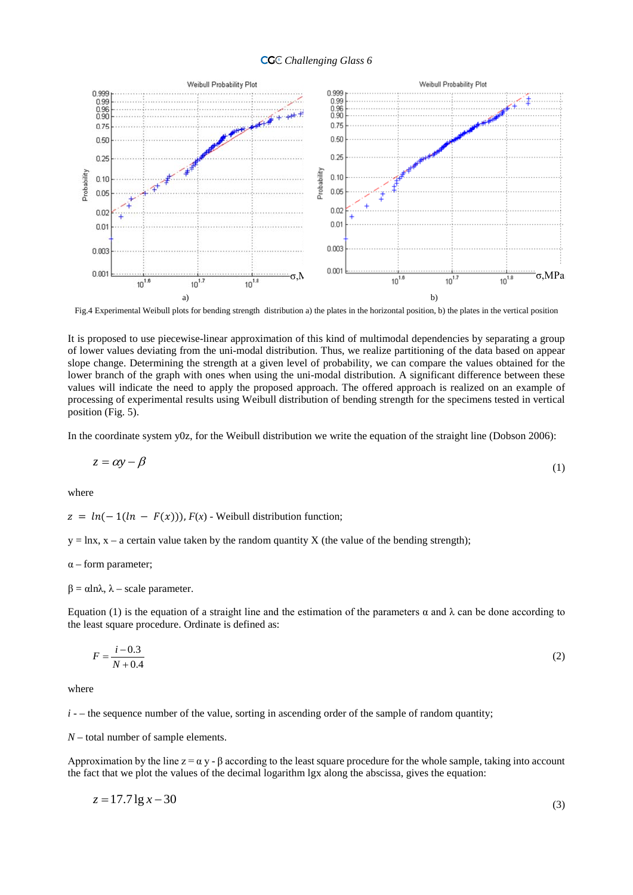#### *Challenging Glass 6* <sup>6</sup>



Fig.4 Experimental Weibull plots for bending strength distribution a) the plates in the horizontal position, b) the plates in the vertical position

It is proposed to use piecewise-linear approximation of this kind of multimodal dependencies by separating a group of lower values deviating from the uni-modal distribution. Thus, we realize partitioning of the data based on appear slope change. Determining the strength at a given level of probability, we can compare the values obtained for the lower branch of the graph with ones when using the uni-modal distribution. A significant difference between these values will indicate the need to apply the proposed approach. The offered approach is realized on an example of processing of experimental results using Weibull distribution of bending strength for the specimens tested in vertical position (Fig. 5).

In the coordinate system y0z, for the Weibull distribution we write the equation of the straight line (Dobson 2006):

$$
z = \alpha y - \beta \tag{1}
$$

where

 $z = ln(-1(ln - F(x)))$ ,  $F(x)$  - Weibull distribution function;

 $y = \ln x$ ,  $x - a$  certain value taken by the random quantity X (the value of the bending strength);

 $\alpha$  – form parameter;

 $β = αlnλ$ ,  $λ - scale parameter$ .

Equation (1) is the equation of a straight line and the estimation of the parameters  $\alpha$  and  $\lambda$  can be done according to the least square procedure. Ordinate is defined as:

$$
F = \frac{i - 0.3}{N + 0.4}
$$
 (2)

where

 $i -$  the sequence number of the value, sorting in ascending order of the sample of random quantity;

*N* – total number of sample elements.

Approximation by the line  $z = \alpha y - \beta$  according to the least square procedure for the whole sample, taking into account the fact that we plot the values of the decimal logarithm lgx along the abscissa, gives the equation:

$$
z = 17.71g \, x - 30\tag{3}
$$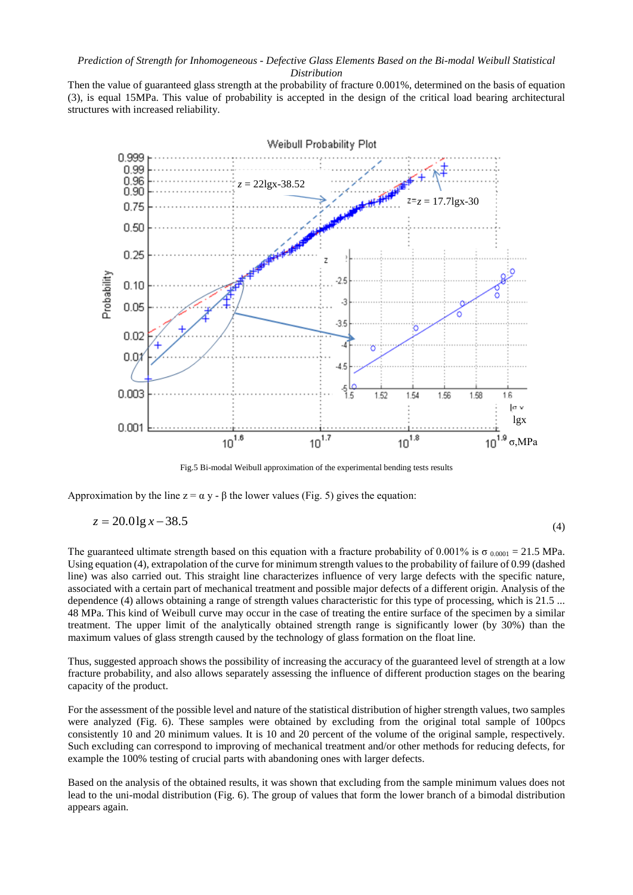Then the value of guaranteed glass strength at the probability of fracture 0.001%, determined on the basis of equation (3), is equal 15MPa. This value of probability is accepted in the design of the critical load bearing architectural structures with increased reliability.



Fig.5 Bi-modal Weibull approximation of the experimental bending tests results

Approximation by the line  $z = \alpha y - \beta$  the lower values (Fig. 5) gives the equation:

$$
z = 20.01g x - 38.5
$$
 (4)

The guaranteed ultimate strength based on this equation with a fracture probability of 0.001% is  $\sigma_{0.0001} = 21.5$  MPa. Using equation (4), extrapolation of the curve for minimum strength values to the probability of failure of 0.99 (dashed line) was also carried out. This straight line characterizes influence of very large defects with the specific nature, associated with a certain part of mechanical treatment and possible major defects of a different origin. Analysis of the dependence (4) allows obtaining a range of strength values characteristic for this type of processing, which is 21.5 ... 48 MPa. This kind of Weibull curve may occur in the case of treating the entire surface of the specimen by a similar treatment. The upper limit of the analytically obtained strength range is significantly lower (by 30%) than the maximum values of glass strength caused by the technology of glass formation on the float line.

Thus, suggested approach shows the possibility of increasing the accuracy of the guaranteed level of strength at a low fracture probability, and also allows separately assessing the influence of different production stages on the bearing capacity of the product.

For the assessment of the possible level and nature of the statistical distribution of higher strength values, two samples were analyzed (Fig. 6). These samples were obtained by excluding from the original total sample of 100pcs consistently 10 and 20 minimum values. It is 10 and 20 percent of the volume of the original sample, respectively. Such excluding can correspond to improving of mechanical treatment and/or other methods for reducing defects, for example the 100% testing of crucial parts with abandoning ones with larger defects.

Based on the analysis of the obtained results, it was shown that excluding from the sample minimum values does not lead to the uni-modal distribution (Fig. 6). The group of values that form the lower branch of a bimodal distribution appears again.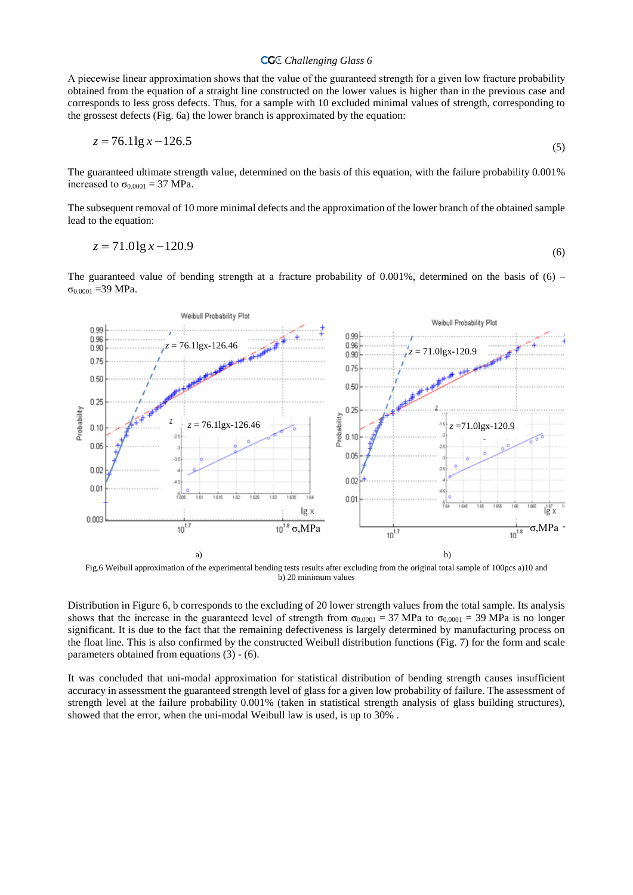## *Challenging Glass 6* <sup>6</sup>

А piecewise linear approximation shows that the value of the guaranteed strength for a given low fracture probability obtained from the equation of a straight line constructed on the lower values is higher than in the previous case and corresponds to less gross defects. Thus, for a sample with 10 excluded minimal values of strength, corresponding to the grossest defects (Fig. 6a) the lower branch is approximated by the equation:

$$
z = 76.11g \, x - 126.5\tag{5}
$$

The guaranteed ultimate strength value, determined on the basis of this equation, with the failure probability 0.001% increased to  $\sigma_{0.0001} = 37 \text{ MPa}$ .

The subsequent removal of 10 more minimal defects and the approximation of the lower branch of the obtained sample lead to the equation:

$$
z = 71.01g x - 120.9
$$
 (6)

The guaranteed value of bending strength at a fracture probability of  $0.001\%$ , determined on the basis of (6) –  $σ<sub>0.0001</sub> = 39 MPa.$ 



Fig.6 Weibull approximation of the experimental bending tests results after excluding from the original total sample of 100pcs a)10 and b) 20 minimum values

Distribution in Figure 6, b corresponds to the excluding of 20 lower strength values from the total sample. Its analysis shows that the increase in the guaranteed level of strength from  $\sigma_{0.0001} = 37 \text{ MPa}$  to  $\sigma_{0.0001} = 39 \text{ MPa}$  is no longer significant. It is due to the fact that the remaining defectiveness is largely determined by manufacturing process on the float line. This is also confirmed by the constructed Weibull distribution functions (Fig. 7) for the form and scale parameters obtained from equations (3) - (6).

It was concluded that uni-modal approximation for statistical distribution of bending strength causes insufficient accuracy in assessment the guaranteed strength level of glass for a given low probability of failure. The assessment of strength level at the failure probability 0.001% (taken in statistical strength analysis of glass building structures), showed that the error, when the uni-modal Weibull law is used, is up to 30% .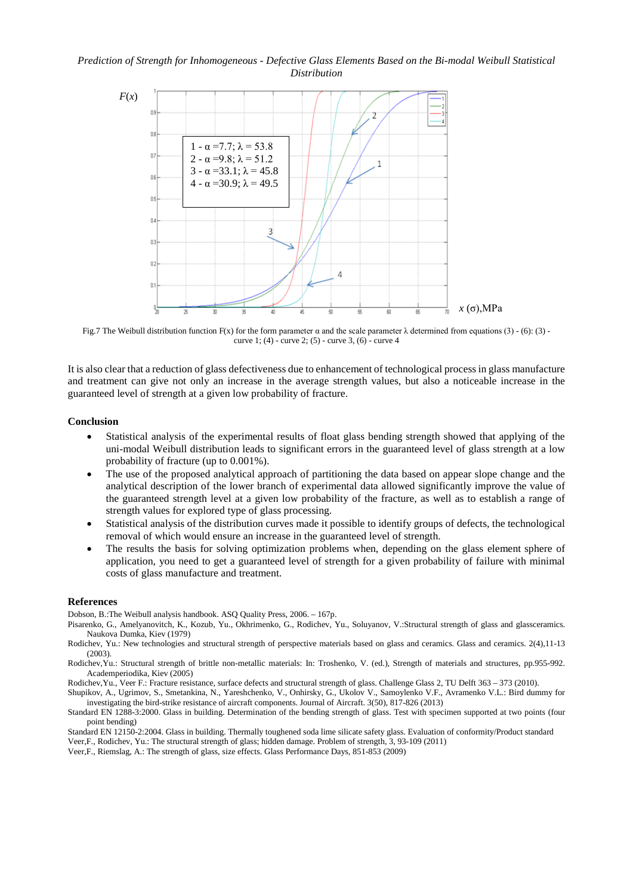## *Prediction of Strength for Inhomogeneous - Defective Glass Elements Based on the Bi-modal Weibull Statistical Distribution*



Fig.7 The Weibull distribution function F(x) for the form parameter α and the scale parameter λ determined from equations (3) - (6): (3) curve 1; (4) - curve 2; (5) - curve 3, (6) - curve 4

It is also clear that a reduction of glass defectiveness due to enhancement of technological process in glass manufacture and treatment can give not only an increase in the average strength values, but also a noticeable increase in the guaranteed level of strength at a given low probability of fracture.

#### **Conclusion**

- Statistical analysis of the experimental results of float glass bending strength showed that applying of the uni-modal Weibull distribution leads to significant errors in the guaranteed level of glass strength at a low probability of fracture (up to 0.001%).
- The use of the proposed analytical approach of partitioning the data based on appear slope change and the analytical description of the lower branch of experimental data allowed significantly improve the value of the guaranteed strength level at a given low probability of the fracture, as well as to establish a range of strength values for explored type of glass processing.
- Statistical analysis of the distribution curves made it possible to identify groups of defects, the technological removal of which would ensure an increase in the guaranteed level of strength.
- The results the basis for solving optimization problems when, depending on the glass element sphere of application, you need to get a guaranteed level of strength for a given probability of failure with minimal costs of glass manufacture and treatment.

#### **References**

Dobson, B.:The Weibull analysis handbook. ASQ Quality Press, 2006. – 167p.

- Pisarenko, G., Amelyanovitch, K., Kozub, Yu., Okhrimenko, G., Rodichev, Yu., Soluyanov, V.:Structural strength of glass and glassceramics. Naukova Dumka, Kiev (1979)
- Rodichev, Yu.: New technologies and structural strength of perspective materials based on glass and ceramics. Glass and ceramics. 2(4),11-13 (2003).
- Rodichev,Yu.: Structural strength of brittle non-metallic materials: In: Troshenko, V. (ed.), Strength of materials and structures, pp.955-992. Academperiodika, Kiev (2005)

Rodichev,Yu., Veer F.: Fracture resistance, surface defects and structural strength of glass. Challenge Glass 2, TU Delft 363 – 373 (2010).

Shupikov, A., Ugrimov, S., Smetankina, N., Yareshchenko, V., Onhirsky, G., Ukolov V., Samoylenko V.F., Avramenko V.L.: Bird dummy for investigating the bird-strike resistance of aircraft components. Journal of Aircraft. 3(50), 817-826 (2013)

Standard EN 1288-3:2000. Glass in building. Determination of the bending strength of glass. Test with specimen supported at two points (four point bending)

Standard EN 12150-2:2004. Glass in building. Thermally toughened soda lime silicate safety glass. Evaluation of conformity/Product standard Veer,F., Rodichev, Yu.: The structural strength of glass; hidden damage. Problem of strength, 3, 93-109 (2011)

Veer,F., Riemslag, A.: The strength of glass, size effects. Glass Performance Days, 851-853 (2009)